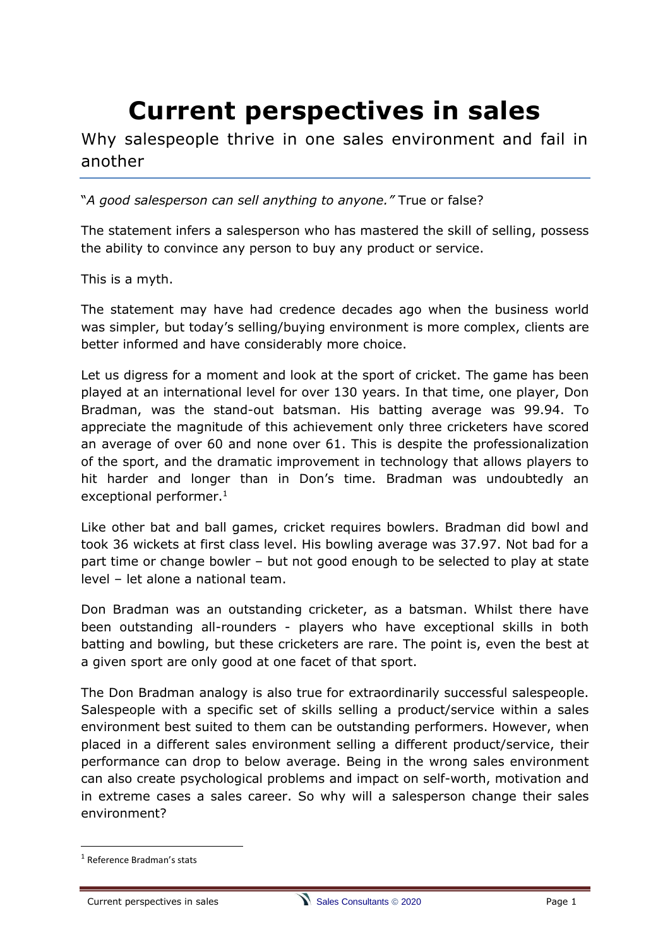# **Current perspectives in sales**

Why salespeople thrive in one sales environment and fail in another

"*A good salesperson can sell anything to anyone."* True or false?

The statement infers a salesperson who has mastered the skill of selling, possess the ability to convince any person to buy any product or service.

This is a myth.

The statement may have had credence decades ago when the business world was simpler, but today's selling/buying environment is more complex, clients are better informed and have considerably more choice.

Let us digress for a moment and look at the sport of cricket. The game has been played at an international level for over 130 years. In that time, one player, Don Bradman, was the stand-out batsman. His batting average was 99.94. To appreciate the magnitude of this achievement only three cricketers have scored an average of over 60 and none over 61. This is despite the professionalization of the sport, and the dramatic improvement in technology that allows players to hit harder and longer than in Don's time. Bradman was undoubtedly an exceptional performer.<sup>1</sup>

Like other bat and ball games, cricket requires bowlers. Bradman did bowl and took 36 wickets at first class level. His bowling average was 37.97. Not bad for a part time or change bowler – but not good enough to be selected to play at state level – let alone a national team.

Don Bradman was an outstanding cricketer, as a batsman. Whilst there have been outstanding all-rounders - players who have exceptional skills in both batting and bowling, but these cricketers are rare. The point is, even the best at a given sport are only good at one facet of that sport.

The Don Bradman analogy is also true for extraordinarily successful salespeople. Salespeople with a specific set of skills selling a product/service within a sales environment best suited to them can be outstanding performers. However, when placed in a different sales environment selling a different product/service, their performance can drop to below average. Being in the wrong sales environment can also create psychological problems and impact on self-worth, motivation and in extreme cases a sales career. So why will a salesperson change their sales environment?

<sup>1</sup> Reference Bradman's stats

Current perspectives in sales Sales Consultants © 2020 Page 1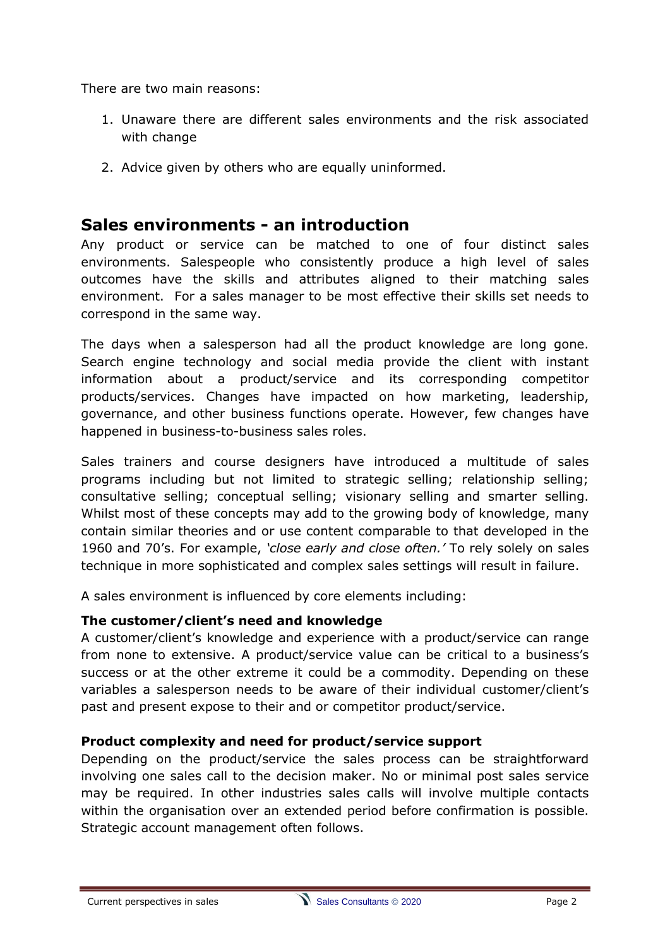There are two main reasons:

- 1. Unaware there are different sales environments and the risk associated with change
- 2. Advice given by others who are equally uninformed.

# **Sales environments - an introduction**

Any product or service can be matched to one of four distinct sales environments. Salespeople who consistently produce a high level of sales outcomes have the skills and attributes aligned to their matching sales environment. For a sales manager to be most effective their skills set needs to correspond in the same way.

The days when a salesperson had all the product knowledge are long gone. Search engine technology and social media provide the client with instant information about a product/service and its corresponding competitor products/services. Changes have impacted on how marketing, leadership, governance, and other business functions operate. However, few changes have happened in business-to-business sales roles.

Sales trainers and course designers have introduced a multitude of sales programs including but not limited to strategic selling; relationship selling; consultative selling; conceptual selling; visionary selling and smarter selling. Whilst most of these concepts may add to the growing body of knowledge, many contain similar theories and or use content comparable to that developed in the 1960 and 70's. For example, *'close early and close often.'* To rely solely on sales technique in more sophisticated and complex sales settings will result in failure.

A sales environment is influenced by core elements including:

#### **The customer/client's need and knowledge**

A customer/client's knowledge and experience with a product/service can range from none to extensive. A product/service value can be critical to a business's success or at the other extreme it could be a commodity. Depending on these variables a salesperson needs to be aware of their individual customer/client's past and present expose to their and or competitor product/service.

#### **Product complexity and need for product/service support**

Depending on the product/service the sales process can be straightforward involving one sales call to the decision maker. No or minimal post sales service may be required. In other industries sales calls will involve multiple contacts within the organisation over an extended period before confirmation is possible. Strategic account management often follows.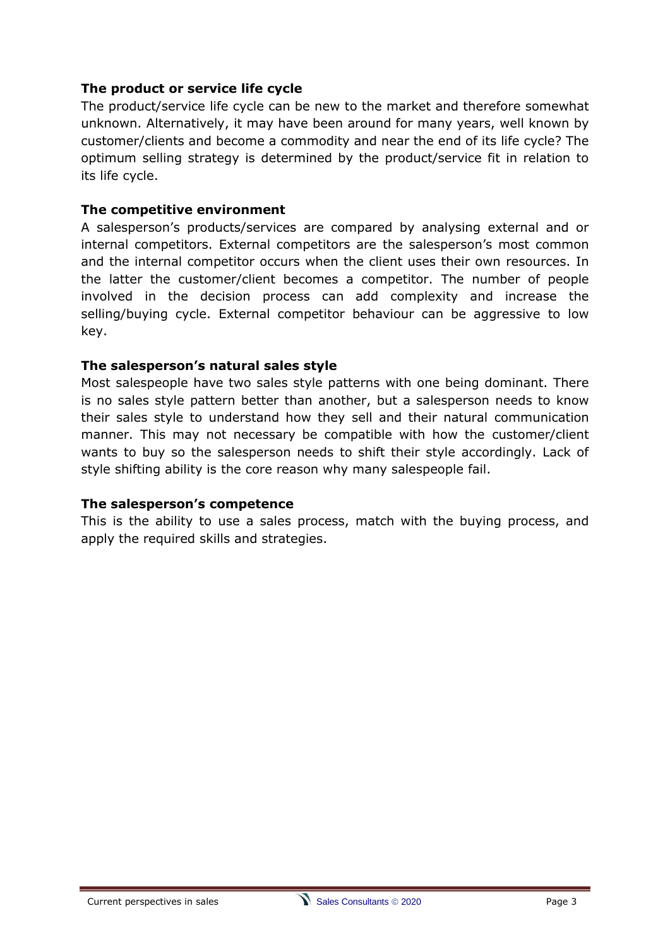#### **The product or service life cycle**

The product/service life cycle can be new to the market and therefore somewhat unknown. Alternatively, it may have been around for many years, well known by customer/clients and become a commodity and near the end of its life cycle? The optimum selling strategy is determined by the product/service fit in relation to its life cycle.

#### **The competitive environment**

A salesperson's products/services are compared by analysing external and or internal competitors. External competitors are the salesperson's most common and the internal competitor occurs when the client uses their own resources. In the latter the customer/client becomes a competitor. The number of people involved in the decision process can add complexity and increase the selling/buying cycle. External competitor behaviour can be aggressive to low key.

#### **The salesperson's natural sales style**

Most salespeople have two sales style patterns with one being dominant. There is no sales style pattern better than another, but a salesperson needs to know their sales style to understand how they sell and their natural communication manner. This may not necessary be compatible with how the customer/client wants to buy so the salesperson needs to shift their style accordingly. Lack of style shifting ability is the core reason why many salespeople fail.

#### **The salesperson's competence**

This is the ability to use a sales process, match with the buying process, and apply the required skills and strategies.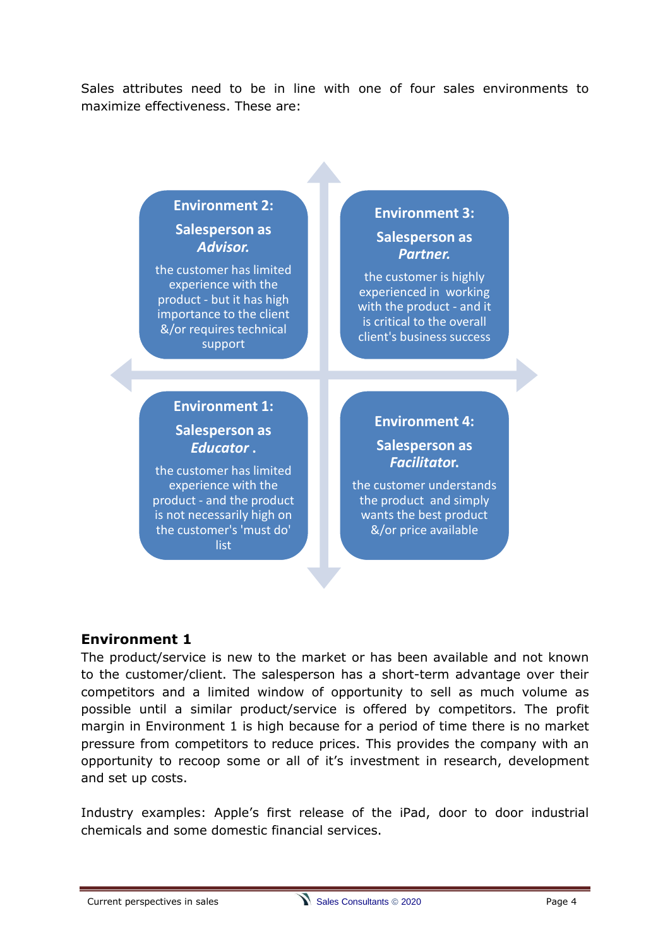Sales attributes need to be in line with one of four sales environments to maximize effectiveness. These are:

# **Environment 2: Salesperson as**

*Advisor.* the customer has limited experience with the product - but it has high importance to the client &/or requires technical

support

# **Environment 3: Salesperson as**

*Partner.*

the customer is highly experienced in working with the product - and it is critical to the overall client's business success

# **Environment 1: Salesperson as**  *Educator* **.**

the customer has limited experience with the product - and the product is not necessarily high on the customer's 'must do' list

# **Environment 4: Salesperson as**  *Facilitato***r.**

the customer understands the product and simply wants the best product &/or price available

# **Environment 1**

The product/service is new to the market or has been available and not known to the customer/client. The salesperson has a short-term advantage over their competitors and a limited window of opportunity to sell as much volume as possible until a similar product/service is offered by competitors. The profit margin in Environment 1 is high because for a period of time there is no market pressure from competitors to reduce prices. This provides the company with an opportunity to recoop some or all of it's investment in research, development and set up costs.

Industry examples: Apple's first release of the iPad, door to door industrial chemicals and some domestic financial services.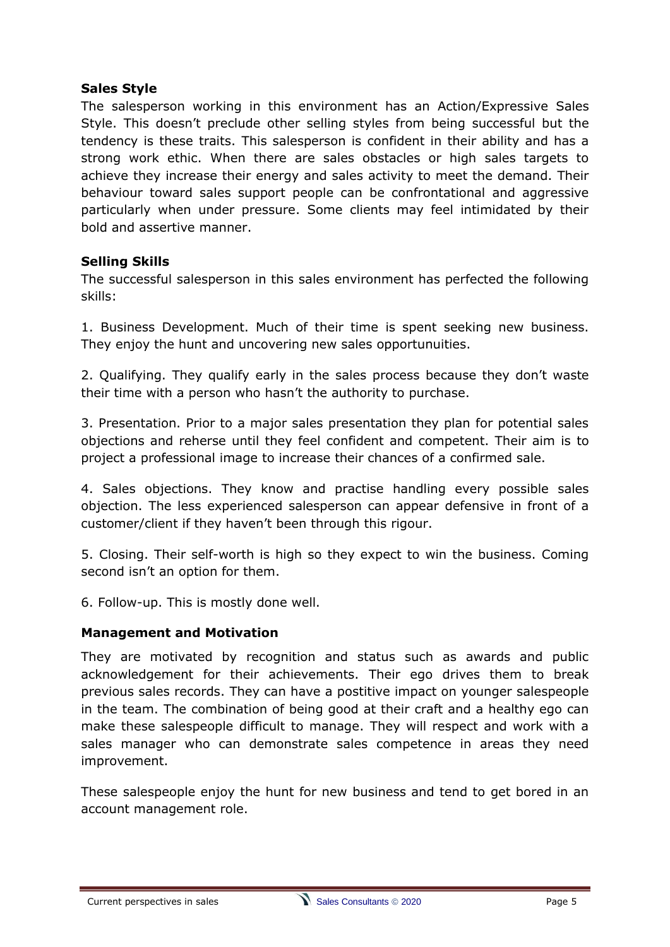#### **Sales Style**

The salesperson working in this environment has an Action/Expressive Sales Style. This doesn't preclude other selling styles from being successful but the tendency is these traits. This salesperson is confident in their ability and has a strong work ethic. When there are sales obstacles or high sales targets to achieve they increase their energy and sales activity to meet the demand. Their behaviour toward sales support people can be confrontational and aggressive particularly when under pressure. Some clients may feel intimidated by their bold and assertive manner.

#### **Selling Skills**

The successful salesperson in this sales environment has perfected the following skills:

1. Business Development. Much of their time is spent seeking new business. They enjoy the hunt and uncovering new sales opportunuities.

2. Qualifying. They qualify early in the sales process because they don't waste their time with a person who hasn't the authority to purchase.

3. Presentation. Prior to a major sales presentation they plan for potential sales objections and reherse until they feel confident and competent. Their aim is to project a professional image to increase their chances of a confirmed sale.

4. Sales objections. They know and practise handling every possible sales objection. The less experienced salesperson can appear defensive in front of a customer/client if they haven't been through this rigour.

5. Closing. Their self-worth is high so they expect to win the business. Coming second isn't an option for them.

6. Follow-up. This is mostly done well.

#### **Management and Motivation**

They are motivated by recognition and status such as awards and public acknowledgement for their achievements. Their ego drives them to break previous sales records. They can have a postitive impact on younger salespeople in the team. The combination of being good at their craft and a healthy ego can make these salespeople difficult to manage. They will respect and work with a sales manager who can demonstrate sales competence in areas they need improvement.

These salespeople enjoy the hunt for new business and tend to get bored in an account management role.

Current perspectives in sales **Sales Consultants © 2020** Page 5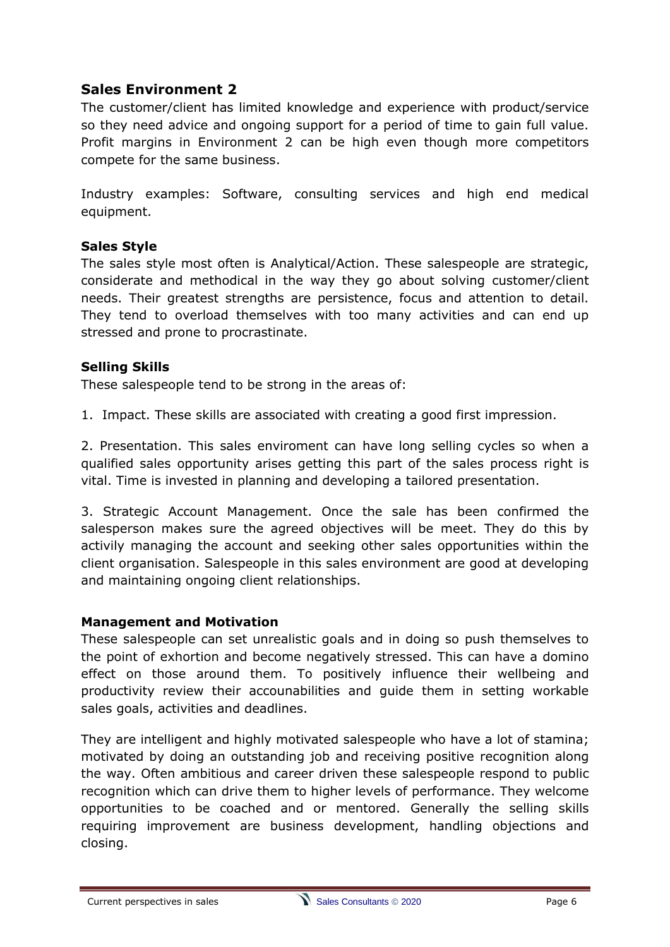# **Sales Environment 2**

The customer/client has limited knowledge and experience with product/service so they need advice and ongoing support for a period of time to gain full value. Profit margins in Environment 2 can be high even though more competitors compete for the same business.

Industry examples: Software, consulting services and high end medical equipment.

#### **Sales Style**

The sales style most often is Analytical/Action. These salespeople are strategic, considerate and methodical in the way they go about solving customer/client needs. Their greatest strengths are persistence, focus and attention to detail. They tend to overload themselves with too many activities and can end up stressed and prone to procrastinate.

#### **Selling Skills**

These salespeople tend to be strong in the areas of:

1. Impact. These skills are associated with creating a good first impression.

2. Presentation. This sales enviroment can have long selling cycles so when a qualified sales opportunity arises getting this part of the sales process right is vital. Time is invested in planning and developing a tailored presentation.

3. Strategic Account Management. Once the sale has been confirmed the salesperson makes sure the agreed objectives will be meet. They do this by activily managing the account and seeking other sales opportunities within the client organisation. Salespeople in this sales environment are good at developing and maintaining ongoing client relationships.

#### **Management and Motivation**

These salespeople can set unrealistic goals and in doing so push themselves to the point of exhortion and become negatively stressed. This can have a domino effect on those around them. To positively influence their wellbeing and productivity review their accounabilities and guide them in setting workable sales goals, activities and deadlines.

They are intelligent and highly motivated salespeople who have a lot of stamina; motivated by doing an outstanding job and receiving positive recognition along the way. Often ambitious and career driven these salespeople respond to public recognition which can drive them to higher levels of performance. They welcome opportunities to be coached and or mentored. Generally the selling skills requiring improvement are business development, handling objections and closing.

Current perspectives in sales Sales Consultants © 2020 Page 6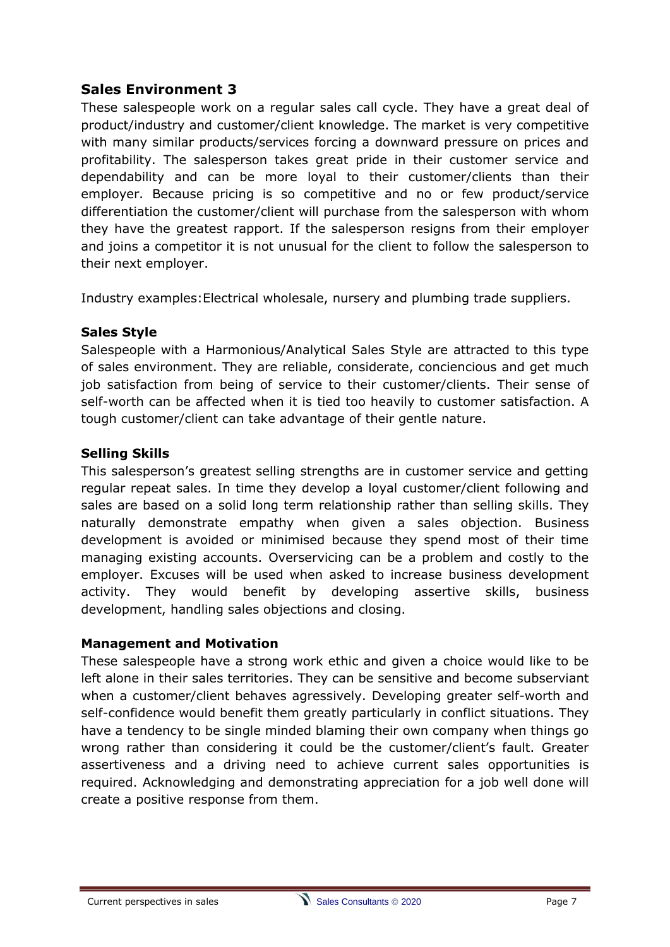# **Sales Environment 3**

These salespeople work on a regular sales call cycle. They have a great deal of product/industry and customer/client knowledge. The market is very competitive with many similar products/services forcing a downward pressure on prices and profitability. The salesperson takes great pride in their customer service and dependability and can be more loyal to their customer/clients than their employer. Because pricing is so competitive and no or few product/service differentiation the customer/client will purchase from the salesperson with whom they have the greatest rapport. If the salesperson resigns from their employer and joins a competitor it is not unusual for the client to follow the salesperson to their next employer.

Industry examples:Electrical wholesale, nursery and plumbing trade suppliers.

#### **Sales Style**

Salespeople with a Harmonious/Analytical Sales Style are attracted to this type of sales environment. They are reliable, considerate, conciencious and get much job satisfaction from being of service to their customer/clients. Their sense of self-worth can be affected when it is tied too heavily to customer satisfaction. A tough customer/client can take advantage of their gentle nature.

#### **Selling Skills**

This salesperson's greatest selling strengths are in customer service and getting regular repeat sales. In time they develop a loyal customer/client following and sales are based on a solid long term relationship rather than selling skills. They naturally demonstrate empathy when given a sales objection. Business development is avoided or minimised because they spend most of their time managing existing accounts. Overservicing can be a problem and costly to the employer. Excuses will be used when asked to increase business development activity. They would benefit by developing assertive skills, business development, handling sales objections and closing.

#### **Management and Motivation**

These salespeople have a strong work ethic and given a choice would like to be left alone in their sales territories. They can be sensitive and become subserviant when a customer/client behaves agressively. Developing greater self-worth and self-confidence would benefit them greatly particularly in conflict situations. They have a tendency to be single minded blaming their own company when things go wrong rather than considering it could be the customer/client's fault. Greater assertiveness and a driving need to achieve current sales opportunities is required. Acknowledging and demonstrating appreciation for a job well done will create a positive response from them.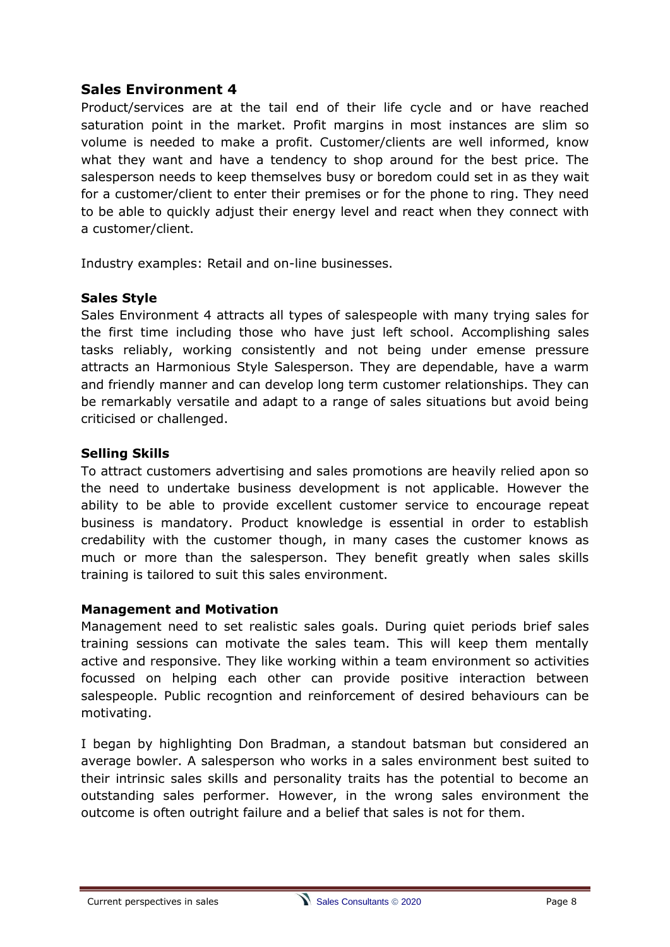#### **Sales Environment 4**

Product/services are at the tail end of their life cycle and or have reached saturation point in the market. Profit margins in most instances are slim so volume is needed to make a profit. Customer/clients are well informed, know what they want and have a tendency to shop around for the best price. The salesperson needs to keep themselves busy or boredom could set in as they wait for a customer/client to enter their premises or for the phone to ring. They need to be able to quickly adjust their energy level and react when they connect with a customer/client.

Industry examples: Retail and on-line businesses.

#### **Sales Style**

Sales Environment 4 attracts all types of salespeople with many trying sales for the first time including those who have just left school. Accomplishing sales tasks reliably, working consistently and not being under emense pressure attracts an Harmonious Style Salesperson. They are dependable, have a warm and friendly manner and can develop long term customer relationships. They can be remarkably versatile and adapt to a range of sales situations but avoid being criticised or challenged.

#### **Selling Skills**

To attract customers advertising and sales promotions are heavily relied apon so the need to undertake business development is not applicable. However the ability to be able to provide excellent customer service to encourage repeat business is mandatory. Product knowledge is essential in order to establish credability with the customer though, in many cases the customer knows as much or more than the salesperson. They benefit greatly when sales skills training is tailored to suit this sales environment.

#### **Management and Motivation**

Management need to set realistic sales goals. During quiet periods brief sales training sessions can motivate the sales team. This will keep them mentally active and responsive. They like working within a team environment so activities focussed on helping each other can provide positive interaction between salespeople. Public recogntion and reinforcement of desired behaviours can be motivating.

I began by highlighting Don Bradman, a standout batsman but considered an average bowler. A salesperson who works in a sales environment best suited to their intrinsic sales skills and personality traits has the potential to become an outstanding sales performer. However, in the wrong sales environment the outcome is often outright failure and a belief that sales is not for them.